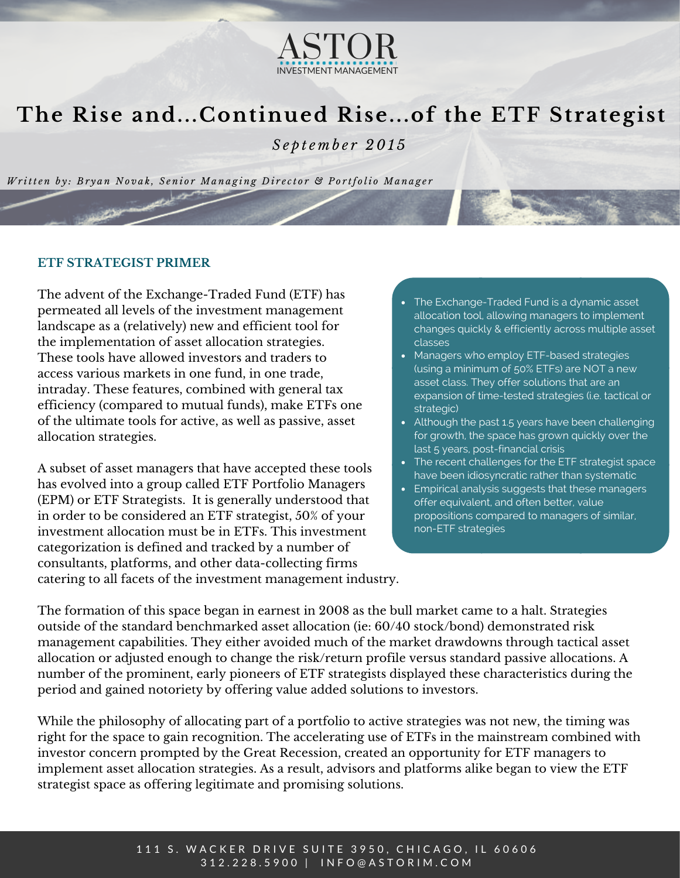

# **The Rise and...Continued Rise...of the ETF Strategist**

*S e p t e m b e r 2 0 1 5*

Written by: Bryan Novak, Senior Managing Director & Portfolio Manager

### **ETF STRATEGIST PRIMER**

The advent of the Exchange-Traded Fund (ETF) has permeated all levels of the investment management landscape as a (relatively) new and efficient tool for the implementation of asset allocation strategies. These tools have allowed investors and traders to access various markets in one fund, in one trade, intraday. These features, combined with general tax efficiency (compared to mutual funds), make ETFs one of the ultimate tools for active, as well as passive, asset allocation strategies.

A subset of asset managers that have accepted these tools has evolved into a group called ETF Portfolio Managers (EPM) or ETF Strategists. It is generally understood that in order to be considered an ETF strategist, 50% of your investment allocation must be in ETFs. This investment categorization is defined and tracked by a number of consultants, platforms, and other data-collecting firms catering to all facets of the investment management industry.

- The Exchange-Traded Fund is a dynamic asset allocation tool, allowing managers to implement changes quickly & efficiently across multiple asset classes
- Managers who employ ETF-based strategies (using a minimum of 50% ETFs) are NOT a new asset class. They offer solutions that are an expansion of time-tested strategies (i.e. tactical or strategic)
- Although the past 1.5 years have been challenging for growth, the space has grown quickly over the last 5 years, post-financial crisis
- The recent challenges for the ETF strategist space have been idiosyncratic rather than systematic
- Empirical analysis suggests that these managers offer equivalent, and often better, value propositions compared to managers of similar, non-ETF strategies

The formation of this space began in earnest in 2008 as the bull market came to a halt. Strategies outside of the standard benchmarked asset allocation (ie: 60/40 stock/bond) demonstrated risk management capabilities. They either avoided much of the market drawdowns through tactical asset allocation or adjusted enough to change the risk/return profile versus standard passive allocations. A number of the prominent, early pioneers of ETF strategists displayed these characteristics during the period and gained notoriety by offering value added solutions to investors.

While the philosophy of allocating part of a portfolio to active strategies was not new, the timing was right for the space to gain recognition. The accelerating use of ETFs in the mainstream combined with investor concern prompted by the Great Recession, created an opportunity for ETF managers to implement asset allocation strategies. As a result, advisors and platforms alike began to view the ETF strategist space as offering legitimate and promising solutions.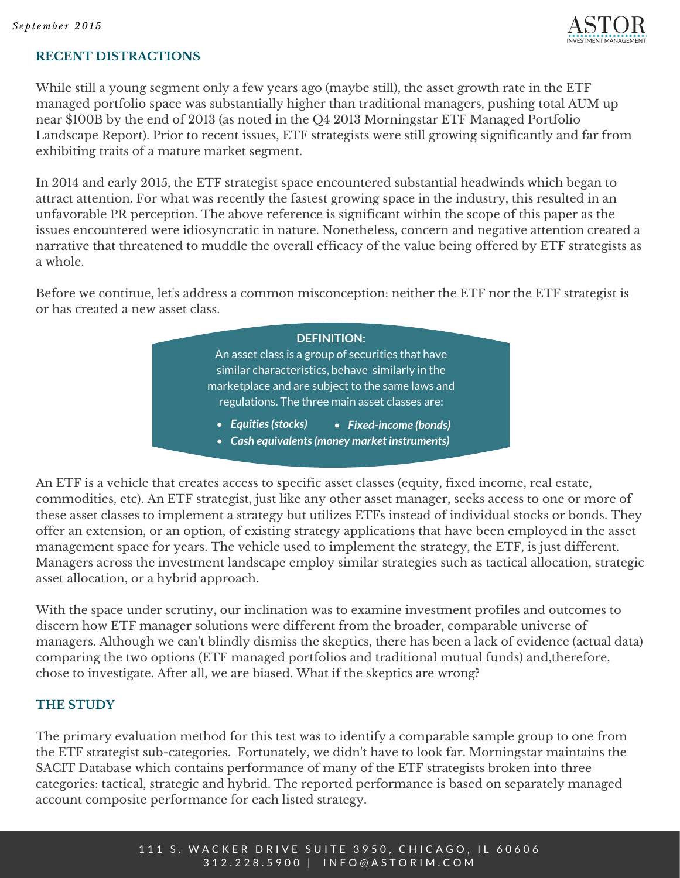

#### **RECENT DISTRACTIONS**

While still a young segment only a few years ago (maybe still), the asset growth rate in the ETF managed portfolio space was substantially higher than traditional managers, pushing total AUM up near \$100B by the end of 2013 (as noted in the Q4 2013 Morningstar ETF Managed Portfolio Landscape Report). Prior to recent issues, ETF strategists were still growing significantly and far from exhibiting traits of a mature market segment.

In 2014 and early 2015, the ETF strategist space encountered substantial headwinds which began to attract attention. For what was recently the fastest growing space in the industry, this resulted in an unfavorable PR perception. The above reference is significant within the scope of this paper as the issues encountered were idiosyncratic in nature. Nonetheless, concern and negative attention created a narrative that threatened to muddle the overall efficacy of the value being offered by ETF strategists as a whole.

Before we continue, let's address a common misconception: neither the ETF nor the ETF strategist is or has created a new asset class.



An ETF is a vehicle that creates access to specific asset classes (equity, fixed income, real estate, commodities, etc). An ETF strategist, just like any other asset manager, seeks access to one or more of these asset classes to implement a strategy but utilizes ETFs instead of individual stocks or bonds. They offer an extension, or an option, of existing strategy applications that have been employed in the asset management space for years. The vehicle used to implement the strategy, the ETF, is just different. Managers across the investment landscape employ similar strategies such as tactical allocation, strategic asset allocation, or a hybrid approach.

With the space under scrutiny, our inclination was to examine investment profiles and outcomes to discern how ETF manager solutions were different from the broader, comparable universe of managers. Although we can't blindly dismiss the skeptics, there has been a lack of evidence (actual data) comparing the two options (ETF managed portfolios and traditional mutual funds) and,therefore, chose to investigate. After all, we are biased. What if the skeptics are wrong?

#### **THE STUDY**

The primary evaluation method for this test was to identify a comparable sample group to one from the ETF strategist sub-categories. Fortunately, we didn't have to look far. Morningstar maintains the SACIT Database which contains performance of many of the ETF strategists broken into three categories: tactical, strategic and hybrid. The reported performance is based on separately managed account composite performance for each listed strategy.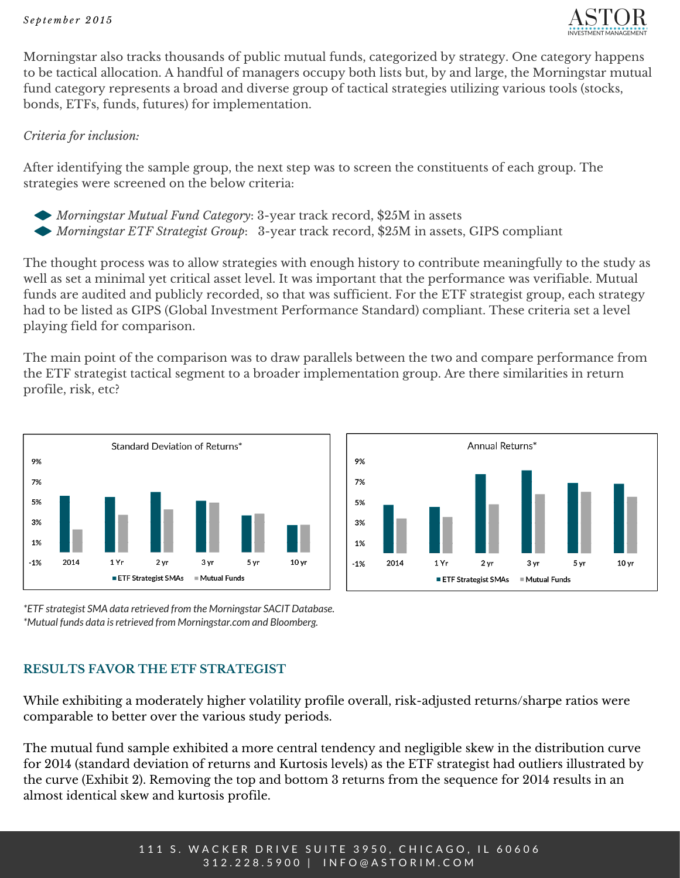

Morningstar also tracks thousands of public mutual funds, categorized by strategy. One category happens to be tactical allocation. A handful of managers occupy both lists but, by and large, the Morningstar mutual fund category represents a broad and diverse group of tactical strategies utilizing various tools (stocks, bonds, ETFs, funds, futures) for implementation.

#### *Criteria for inclusion:*

After identifying the sample group, the next step was to screen the constituents of each group. The strategies were screened on the below criteria:

- *Morningstar Mutual Fund Category*: 3-year track record, \$25M in assets
- *Morningstar ETF Strategist Group*: 3-year track record, \$25M in assets, GIPS compliant

The thought process was to allow strategies with enough history to contribute meaningfully to the study as well as set a minimal yet critical asset level. It was important that the performance was verifiable. Mutual funds are audited and publicly recorded, so that was sufficient. For the ETF strategist group, each strategy had to be listed as GIPS (Global Investment Performance Standard) compliant. These criteria set a level playing field for comparison.

The main point of the comparison was to draw parallels between the two and compare performance from the ETF strategist tactical segment to a broader implementation group. Are there similarities in return profile, risk, etc?





*\*ETF strategist SMA data retrieved from the Morningstar SACIT Database. \*Mutual funds data isretrieved from Morningstar.com and Bloomberg.*

## **RESULTS FAVOR THE ETF STRATEGIST**

While exhibiting a moderately higher volatility profile overall, risk-adjusted returns/sharpe ratios were comparable to better over the various study periods.

The mutual fund sample exhibited a more central tendency and negligible skew in the distribution curve for 2014 (standard deviation of returns and Kurtosis levels) as the ETF strategist had outliers illustrated by the curve (Exhibit 2). Removing the top and bottom 3 returns from the sequence for 2014 results in an almost identical skew and kurtosis profile.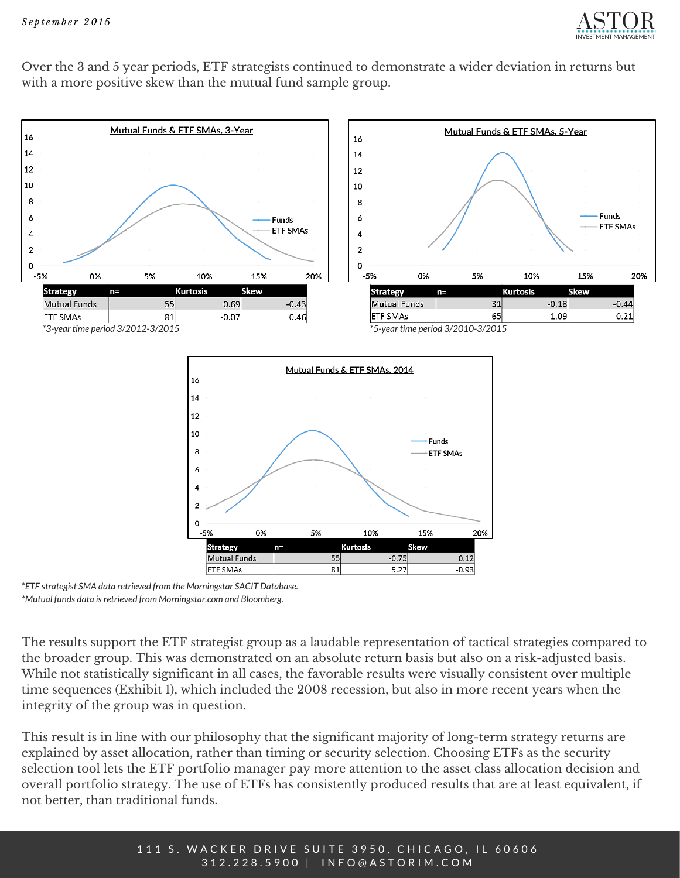

Over the 3 and 5 year periods, ETF strategists continued to demonstrate a wider deviation in returns but with a more positive skew than the mutual fund sample group.



*\*ETF strategist SMA data retrieved from the Morningstar SACIT Database. \*Mutual funds data isretrieved from Morningstar.com and Bloomberg.*

The results support the ETF strategist group as a laudable representation of tactical strategies compared to the broader group. This was demonstrated on an absolute return basis but also on a risk-adjusted basis. While not statistically significant in all cases, the favorable results were visually consistent over multiple time sequences (Exhibit 1), which included the 2008 recession, but also in more recent years when the integrity of the group was in question.

This result is in line with our philosophy that the significant majority of long-term strategy returns are explained by asset allocation, rather than timing or security selection. Choosing ETFs as the security selection tool lets the ETF portfolio manager pay more attention to the asset class allocation decision and overall portfolio strategy. The use of ETFs has consistently produced results that are at least equivalent, if not better, than traditional funds.